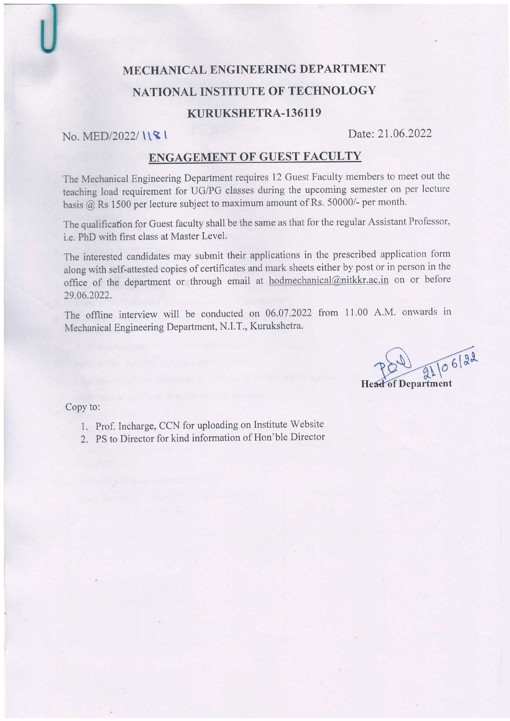# MECHANICAL ENGINEERING DEPARTMENT NATIONAL INSTITUTE OF TECHNOLOGY KURUKSHETRA-I36119

# No. MED/2022/  $\sqrt{21.06.2022}$

T

### **ENGAGEMENT OF GUEST FACULTY**

The Mechanical Engineering Departrnent requires 12 Guest Faculty members to meet out the teaching load requirement for UG/PG classes during the upcoming semester on per lecture basis @ Rs 1500 per lecture subject to maximum amount of Rs. 50000/- per month.

The qualificafion for Guest faculty shall be the same as that for the regular Assistant Professor, i.e. PhD with first class at Master Level.

The interested candidates may submit their applications in the prescribed application form along with self-attested copies of certificates and mark sheets either by post or in person in the office of the department or through email at hodmechanical@nitkkr.ac.in on or before 29.06.2022.

The offline interview will be conducted on 06.07.2022 from 11.00 A.M. onwards in Mechanical Engineering Department, N.I.T., Kurukshetra.

106/22

**Head of Department** 

Copy to:

- 1. Prof. Incharge, CCN for uploading on Institute Website
- 2. PS to Director for kind information of Hon'ble Director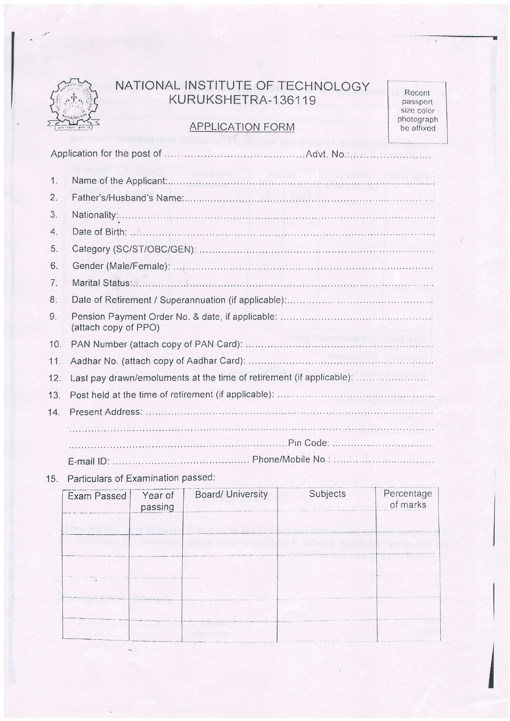

# NATIONAL INSTITUTE OF TECHNOLOGY KURUKSHETRA-136119

## **APPLICATION FORM**

Recent passport<br>size color<br>photograph<br>be affixed

Q

| 1.  |                                                                      |
|-----|----------------------------------------------------------------------|
| 2.  |                                                                      |
| 3.  |                                                                      |
| 4.  |                                                                      |
| 5.  |                                                                      |
| 6.  |                                                                      |
| 7.  |                                                                      |
| 8.  |                                                                      |
| 9.  | (attach copy of PPO)                                                 |
| 10. |                                                                      |
| 11. |                                                                      |
| 12. | Last pay drawn/emoluments at the time of retirement (if applicable): |
| 13. |                                                                      |
| 14. |                                                                      |
|     |                                                                      |
|     |                                                                      |
|     |                                                                      |

15. Particulars of Examination passed:

| Exam Passed | Year of<br>passing | <b>Board/ University</b> | Subjects | Percentage<br>of marks |
|-------------|--------------------|--------------------------|----------|------------------------|
|             |                    |                          |          |                        |
|             |                    |                          |          |                        |
|             |                    |                          |          |                        |
|             |                    |                          |          |                        |
|             |                    |                          |          |                        |
|             |                    |                          |          |                        |